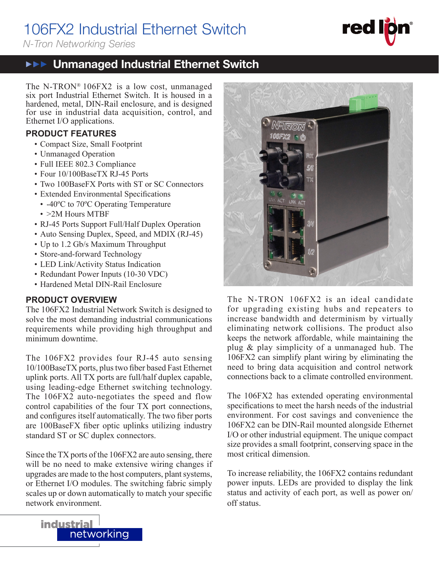# 106FX2 Industrial Ethernet Switch

*N-Tron Networking Series*

#### **THE** Unmanaged Industrial Ethernet Switch  $\blacktriangleright \blacktriangleright \blacktriangleright$

The N-TRON® 106FX2 is a low cost, unmanaged six port Industrial Ethernet Switch. It is housed in a hardened, metal, DIN-Rail enclosure, and is designed for use in industrial data acquisition, control, and Ethernet I/O applications.

# **PRODUCT FEATURES**

- Compact Size, Small Footprint
- Unmanaged Operation
- Full IEEE 802.3 Compliance
- Four 10/100BaseTX RJ-45 Ports
- Two 100BaseFX Ports with ST or SC Connectors
- Extended Environmental Specifications
	- -40°C to 70°C Operating Temperature
	- >2M Hours MTBF
- RJ-45 Ports Support Full/Half Duplex Operation
- Auto Sensing Duplex, Speed, and MDIX (RJ-45)
- Up to 1.2 Gb/s Maximum Throughput
- Store-and-forward Technology
- LED Link/Activity Status Indication
- Redundant Power Inputs (10-30 VDC)
- Hardened Metal DIN-Rail Enclosure

## **PRODUCT OVERVIEW**

The 106FX2 Industrial Network Switch is designed to solve the most demanding industrial communications requirements while providing high throughput and minimum downtime.

The 106FX2 provides four RJ-45 auto sensing 10/100BaseTX ports, plus two fiber based Fast Ethernet uplink ports. All TX ports are full/half duplex capable, using leading-edge Ethernet switching technology. The 106FX2 auto-negotiates the speed and flow control capabilities of the four TX port connections, and configures itself automatically. The two fiber ports are 100BaseFX fiber optic uplinks utilizing industry standard ST or SC duplex connectors.

Since the TX ports of the 106FX2 are auto sensing, there will be no need to make extensive wiring changes if upgrades are made to the host computers, plant systems, or Ethernet I/O modules. The switching fabric simply scales up or down automatically to match your specific network environment.



<u>106.000</u>

The N-TRON 106FX2 is an ideal candidate for upgrading existing hubs and repeaters to increase bandwidth and determinism by virtually eliminating network collisions. The product also keeps the network affordable, while maintaining the plug & play simplicity of a unmanaged hub. The 106FX2 can simplify plant wiring by eliminating the need to bring data acquisition and control network connections back to a climate controlled environment.

The 106FX2 has extended operating environmental specifications to meet the harsh needs of the industrial environment. For cost savings and convenience the 106FX2 can be DIN-Rail mounted alongside Ethernet I/O or other industrial equipment. The unique compact size provides a small footprint, conserving space in the most critical dimension.

To increase reliability, the 106FX2 contains redundant power inputs. LEDs are provided to display the link status and activity of each port, as well as power on/ off status.

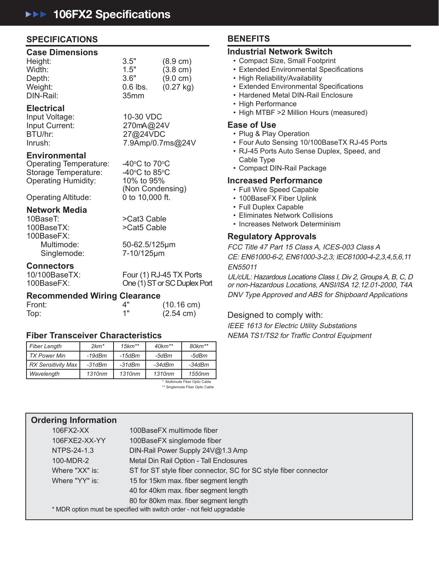## **SPECIFICATIONS**

#### **Case Dimensions**

| Height:   | 3.5"             | $(8.9 \text{ cm})$  |
|-----------|------------------|---------------------|
| Width:    | 1.5"             | $(3.8 \text{ cm})$  |
| Depth:    | 3.6"             | $(9.0 \text{ cm})$  |
| Weight:   | $0.6$ lbs.       | $(0.27 \text{ kg})$ |
| DIN-Rail: | 35 <sub>mm</sub> |                     |
|           |                  |                     |

## **Electrical**

Input Voltage: 10-30 VDC<br>Input Current: 270mA@24V Input Current: BTU/hr: 27@24VDC

7.9Amp/0.7ms@24V

#### **Environmental**

Operating Temperature: Storage Temperature: 40°C to 85°<br>Operating Humidity: 10% to 95% Operating Humidity:

C to 85 $\mathrm{^{\circ}C}$ (Non Condensing)<br>0 to 10,000 ft.

C to  $70^{\circ}$ C

# Operating Altitude: **Network Media**

100BaseTX: >Cat5 Cable 100BaseFX: Singlemode: 7-10/125μm

50-62.5/125μm

>Cat3 Cable

# **Connectors**<br>10/100BaseTX:

10/100BaseTX: Four (1) RJ-45 TX Ports<br>100BaseFX: Che (1) ST or SC Duplex F One (1) ST or SC Duplex Port

## **Recommended Wiring Clearance**

| Front: |     | $(10.16 \text{ cm})$ |
|--------|-----|----------------------|
| Top:   | 4 " | $(2.54 \text{ cm})$  |

## **Fiber Transceiver Characteristics**

| <b>Fiber Length</b>           | $2km*$   | $15km**$ | $40km**$ | $80km**$ |
|-------------------------------|----------|----------|----------|----------|
| <b>TX Power Min</b>           | $-19dBm$ | $-15dBm$ | -5dBm    | -5dBm    |
| <b>RX Sensitivity Max</b>     | $-31dBm$ | $-31dBm$ | $-34dBm$ | $-34dBm$ |
| Wavelength                    | 1310nm   | 1310nm   | 1310nm   | 1550nm   |
| * Multimore Eisen Ontin Onlys |          |          |          |          |

 \* Multimode Fiber Optic Cable \*\* Singlemode Fiber Optic Cable

# **Contact Information Ordering Information**

| 100BaseFX multimode fiber                                               |
|-------------------------------------------------------------------------|
| 100BaseFX singlemode fiber                                              |
| DIN-Rail Power Supply 24V@1.3 Amp                                       |
| Metal Din Rail Option - Tall Enclosures                                 |
| ST for ST style fiber connector, SC for SC style fiber connector        |
| 15 for 15km max. fiber segment length                                   |
| 40 for 40km max. fiber segment length                                   |
| 80 for 80km max. fiber segment length                                   |
| * MDR option must be specified with switch order - not field upgradable |
|                                                                         |

## **BENEFITS**

### **Industrial Network Switch**

- Compact Size, Small Footprint
- Extended Environmental Specifications
- High Reliability/Availability
- Extended Environmental Specifications
- Hardened Metal DIN-Rail Enclosure
- High Performance
- High MTBF >2 Million Hours (measured)

#### **Ease of Use**

- Plug & Play Operation
- Four Auto Sensing 10/100BaseTX RJ-45 Ports
- RJ-45 Ports Auto Sense Duplex, Speed, and Cable Type
- Compact DIN-Rail Package

### **Increased Performance**

- Full Wire Speed Capable
- 100BaseFX Fiber Uplink
- Full Duplex Capable
- Eliminates Network Collisions
- Increases Network Determinism

### **Regulatory Approvals**

FCC Title 47 Part 15 Class A, ICES-003 Class A CE: EN61000-6-2, EN61000-3-2,3; IEC61000-4-2,3,4,5,6,11 EN55011

UL/cUL: Hazardous Locations Class I, Div 2, Groups A, B, C, D or non-Hazardous Locations, ANSI/ISA 12.12.01-2000, T4A DNV Type Approved and ABS for Shipboard Applications

### Designed to comply with:

IEEE 1613 for Electric Utility Substations NEMA TS1/TS2 for Traffic Control Equipment